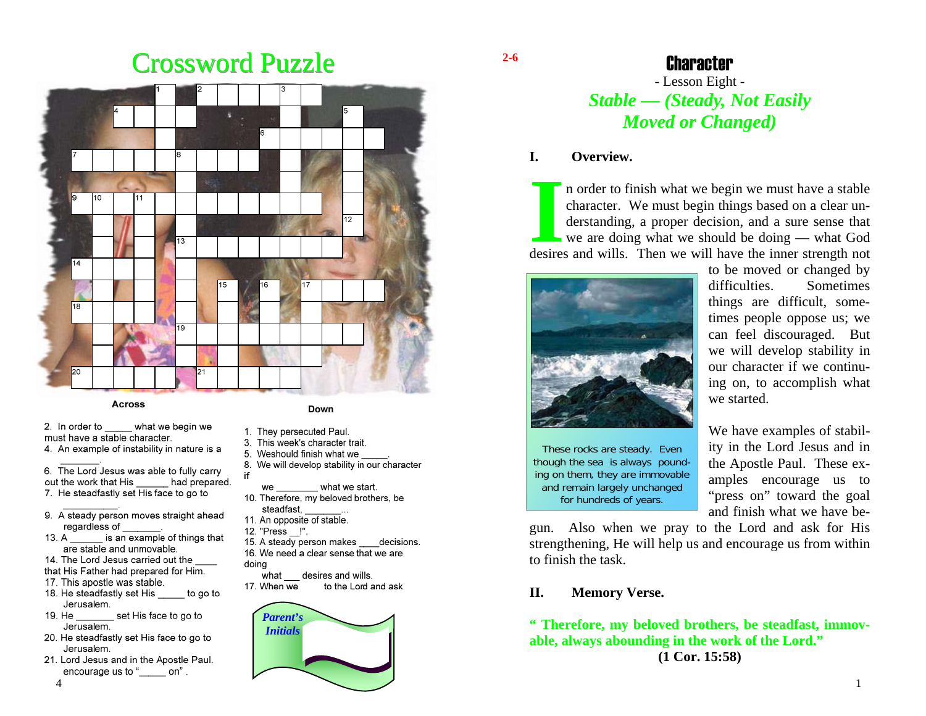# Crossword Puzzle



#### **Across**

2. In order to what we begin we must have a stable character. 4. An example of instability in nature is a

6. The Lord Jesus was able to fully carry out the work that His had prepared. 7. He steadfastly set His face to go to

- 9. A steady person moves straight ahead regardless of
- is an example of things that  $13. A$ are stable and unmovable.
- 14. The Lord Jesus carried out the

that His Father had prepared for Him.

- 17. This apostle was stable.
- 18. He steadfastly set His to go to Jerusalem.
- set His face to go to 19. He Jerusalem.
- 20. He steadfastly set His face to go to Jerusalem.
- 21. Lord Jesus and in the Apostle Paul. encourage us to "
con".

#### Down

- 1. They persecuted Paul.
- 3. This week's character trait.
- 5. Weshould finish what we
- 8. We will develop stability in our character
- $\_$  what we start. we
- 10. Therefore, my beloved brothers, be steadfast.
- 11. An opposite of stable.
- 12. "Press !".

if.

- 15. A steady person makes decisions. 16. We need a clear sense that we are doina
- what desires and wills.
- 17. When we to the Lord and ask



#### **2-6**

## Character

# - Lesson Eight - *Stable — (Steady, Not Easily Moved or Changed)*

#### **I. Overview.**

I**ILART STAR CHARACTER WE must begin we must have a stable character. We must begin things based on a clear understanding, a proper decision, and a sure sense that we are doing what we should be doing — what God** desires and wills. Then we will have the inner strength not



to be moved or changed by difficulties. Sometimes things are difficult, sometimes people oppose us; we can feel discouraged. But we will develop stability in our character if we continuing on, to accomplish what we started.

These rocks are steady. Even though the sea is always pounding on them, they are immovable and remain largely unchanged for hundreds of years.

We have examples of stability in the Lord Jesus and in the Apostle Paul. These examples encourage us to "press on" toward the goal and finish what we have be-

gun. Also when we pray to the Lord and ask for His strengthening, He will help us and encourage us from within to finish the task.

## **II. Memory Verse.**

**" Therefore, my beloved brothers, be steadfast, immovable, always abounding in the work of the Lord." (1 Cor. 15:58)**